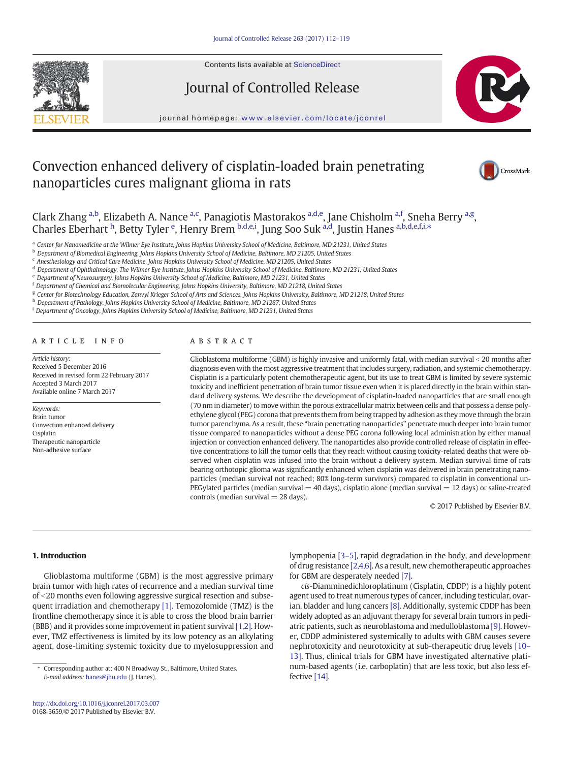

Contents lists available at ScienceDirect

# Journal of Controlled Release



journal homepage: <www.elsevier.com/locate/jconrel>

# Convection enhanced delivery of cisplatin-loaded brain penetrating nanoparticles cures malignant glioma in rats



Clark Zhang <sup>a,b</sup>, Elizabeth A. Nance <sup>a,c</sup>, Panagiotis Mastorakos <sup>a,d,e</sup>, Jane Chisholm <sup>a,f</sup>, Sneha Berry <sup>a,g</sup>, Charles Eberhart <sup>h</sup>, Betty Tyler <sup>e</sup>, Henry Brem <sup>b,d,e,i</sup>, Jung Soo Suk <sup>a,d</sup>, Justin Hanes <sup>a,b,d,e,f,i,\*</sup>

a Center for Nanomedicine at the Wilmer Eye Institute, Johns Hopkins University School of Medicine, Baltimore, MD 21231, United States

<sup>c</sup> Anesthesiology and Critical Care Medicine, Johns Hopkins University School of Medicine, MD 21205, United States

<sup>d</sup> Department of Ophthalmology, The Wilmer Eye Institute, Johns Hopkins University School of Medicine, Baltimore, MD 21231, United States

<sup>e</sup> Department of Neurosurgery, Johns Hopkins University School of Medicine, Baltimore, MD 21231, United States

<sup>f</sup> Department of Chemical and Biomolecular Engineering, Johns Hopkins University, Baltimore, MD 21218, United States

<sup>g</sup> Center for Biotechnology Education, Zanvyl Krieger School of Arts and Sciences, Johns Hopkins University, Baltimore, MD 21218, United States

h Department of Pathology, Johns Hopkins University School of Medicine, Baltimore, MD 21287, United States

<sup>i</sup> Department of Oncology, Johns Hopkins University School of Medicine, Baltimore, MD 21231, United States

# article info abstract

Article history: Received 5 December 2016 Received in revised form 22 February 2017 Accepted 3 March 2017 Available online 7 March 2017

Keywords: Brain tumor Convection enhanced delivery Cisplatin Therapeutic nanoparticle Non-adhesive surface

Glioblastoma multiforme (GBM) is highly invasive and uniformly fatal, with median survival < 20 months after diagnosis even with the most aggressive treatment that includes surgery, radiation, and systemic chemotherapy. Cisplatin is a particularly potent chemotherapeutic agent, but its use to treat GBM is limited by severe systemic toxicity and inefficient penetration of brain tumor tissue even when it is placed directly in the brain within standard delivery systems. We describe the development of cisplatin-loaded nanoparticles that are small enough (70 nm in diameter) to move within the porous extracellular matrix between cells and that possess a dense polyethylene glycol (PEG) corona that prevents them from being trapped by adhesion as they move through the brain tumor parenchyma. As a result, these "brain penetrating nanoparticles" penetrate much deeper into brain tumor tissue compared to nanoparticles without a dense PEG corona following local administration by either manual injection or convection enhanced delivery. The nanoparticles also provide controlled release of cisplatin in effective concentrations to kill the tumor cells that they reach without causing toxicity-related deaths that were observed when cisplatin was infused into the brain without a delivery system. Median survival time of rats bearing orthotopic glioma was significantly enhanced when cisplatin was delivered in brain penetrating nanoparticles (median survival not reached; 80% long-term survivors) compared to cisplatin in conventional un-PEGylated particles (median survival  $=$  40 days), cisplatin alone (median survival  $=$  12 days) or saline-treated controls (median survival  $=$  28 days).

© 2017 Published by Elsevier B.V.

# 1. Introduction

Glioblastoma multiforme (GBM) is the most aggressive primary brain tumor with high rates of recurrence and a median survival time of <20 months even following aggressive surgical resection and subsequent irradiation and chemotherapy [\[1\].](#page-6-0) Temozolomide (TMZ) is the frontline chemotherapy since it is able to cross the blood brain barrier (BBB) and it provides some improvement in patient survival [\[1,2\]](#page-6-0). However, TMZ effectiveness is limited by its low potency as an alkylating agent, dose-limiting systemic toxicity due to myelosuppression and lymphopenia [\[3](#page-6-0)–5], rapid degradation in the body, and development of drug resistance [\[2,4,6\]](#page-6-0). As a result, new chemotherapeutic approaches for GBM are desperately needed [\[7\].](#page-6-0)

cis-Diamminedichloroplatinum (Cisplatin, CDDP) is a highly potent agent used to treat numerous types of cancer, including testicular, ovarian, bladder and lung cancers [\[8\]](#page-6-0). Additionally, systemic CDDP has been widely adopted as an adjuvant therapy for several brain tumors in pediatric patients, such as neuroblastoma and medulloblastoma [\[9\]](#page-6-0). However, CDDP administered systemically to adults with GBM causes severe nephrotoxicity and neurotoxicity at sub-therapeutic drug levels [\[10](#page-6-0)– [13\].](#page-6-0) Thus, clinical trials for GBM have investigated alternative platinum-based agents (i.e. carboplatin) that are less toxic, but also less effective [\[14\].](#page-6-0)

<sup>b</sup> Department of Biomedical Engineering, Johns Hopkins University School of Medicine, Baltimore, MD 21205, United States

Corresponding author at: 400 N Broadway St., Baltimore, United States. E-mail address: [hanes@jhu.edu](mailto:hanes@jhu.edu) (J. Hanes).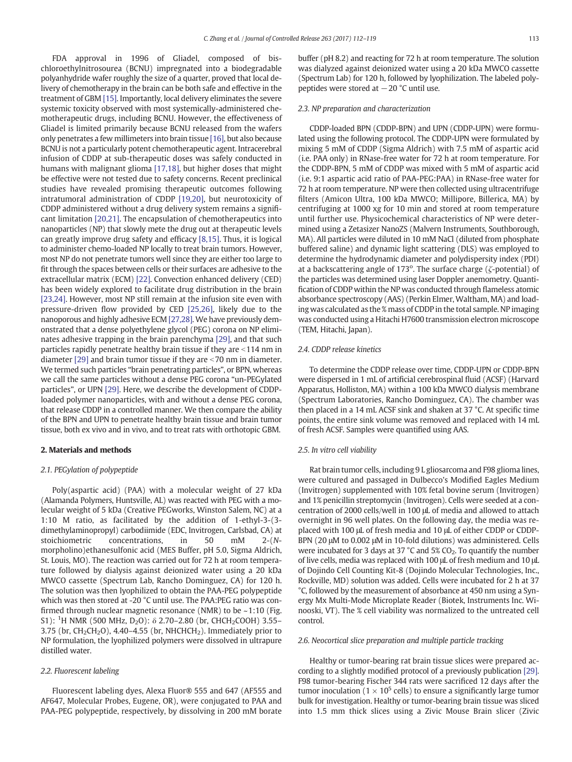FDA approval in 1996 of Gliadel, composed of bischloroethylnitrosourea (BCNU) impregnated into a biodegradable polyanhydride wafer roughly the size of a quarter, proved that local delivery of chemotherapy in the brain can be both safe and effective in the treatment of GBM [\[15\]](#page-6-0). Importantly, local delivery eliminates the severe systemic toxicity observed with most systemically-administered chemotherapeutic drugs, including BCNU. However, the effectiveness of Gliadel is limited primarily because BCNU released from the wafers only penetrates a few millimeters into brain tissue [\[16\]](#page-6-0), but also because BCNU is not a particularly potent chemotherapeutic agent. Intracerebral infusion of CDDP at sub-therapeutic doses was safely conducted in humans with malignant glioma [\[17,18\],](#page-6-0) but higher doses that might be effective were not tested due to safety concerns. Recent preclinical studies have revealed promising therapeutic outcomes following intratumoral administration of CDDP [\[19,20\]](#page-6-0), but neurotoxicity of CDDP administered without a drug delivery system remains a significant limitation [\[20,21\]](#page-6-0). The encapsulation of chemotherapeutics into nanoparticles (NP) that slowly mete the drug out at therapeutic levels can greatly improve drug safety and efficacy [\[8,15\]](#page-6-0). Thus, it is logical to administer chemo-loaded NP locally to treat brain tumors. However, most NP do not penetrate tumors well since they are either too large to fit through the spaces between cells or their surfaces are adhesive to the extracellular matrix (ECM) [\[22\]](#page-6-0). Convection enhanced delivery (CED) has been widely explored to facilitate drug distribution in the brain [\[23,24\]](#page-6-0). However, most NP still remain at the infusion site even with pressure-driven flow provided by CED [\[25,26\],](#page-6-0) likely due to the nanoporous and highly adhesive ECM [\[27,28\]](#page-6-0). We have previously demonstrated that a dense polyethylene glycol (PEG) corona on NP eliminates adhesive trapping in the brain parenchyma [\[29\],](#page-6-0) and that such particles rapidly penetrate healthy brain tissue if they are  $<$ 114 nm in diameter  $[29]$  and brain tumor tissue if they are  $\leq$ 70 nm in diameter. We termed such particles "brain penetrating particles", or BPN, whereas we call the same particles without a dense PEG corona "un-PEGylated particles", or UPN [\[29\]](#page-6-0). Here, we describe the development of CDDPloaded polymer nanoparticles, with and without a dense PEG corona, that release CDDP in a controlled manner. We then compare the ability of the BPN and UPN to penetrate healthy brain tissue and brain tumor tissue, both ex vivo and in vivo, and to treat rats with orthotopic GBM.

#### 2. Materials and methods

# 2.1. PEGylation of polypeptide

Poly(aspartic acid) (PAA) with a molecular weight of 27 kDa (Alamanda Polymers, Huntsville, AL) was reacted with PEG with a molecular weight of 5 kDa (Creative PEGworks, Winston Salem, NC) at a 1:10 M ratio, as facilitated by the addition of 1-ethyl-3-(3 dimethylaminopropyl) carbodiimide (EDC, Invitrogen, Carlsbad, CA) at stoichiometric concentrations, in 50 mM 2-(Nmorpholino)ethanesulfonic acid (MES Buffer, pH 5.0, Sigma Aldrich, St. Louis, MO). The reaction was carried out for 72 h at room temperature followed by dialysis against deionized water using a 20 kDa MWCO cassette (Spectrum Lab, Rancho Dominguez, CA) for 120 h. The solution was then lyophilized to obtain the PAA-PEG polypeptide which was then stored at -20 °C until use. The PAA:PEG ratio was confirmed through nuclear magnetic resonance (NMR) to be ~1:10 (Fig. S1): <sup>1</sup>H NMR (500 MHz, D<sub>2</sub>O):  $\delta$  2.70–2.80 (br, CHCH<sub>2</sub>COOH) 3.55– 3.75 (br,  $CH_2CH_2O$ ), 4.40-4.55 (br, NHCHCH<sub>2</sub>). Immediately prior to NP formulation, the lyophilized polymers were dissolved in ultrapure distilled water.

# 2.2. Fluorescent labeling

Fluorescent labeling dyes, Alexa Fluor® 555 and 647 (AF555 and AF647, Molecular Probes, Eugene, OR), were conjugated to PAA and PAA-PEG polypeptide, respectively, by dissolving in 200 mM borate buffer (pH 8.2) and reacting for 72 h at room temperature. The solution was dialyzed against deionized water using a 20 kDa MWCO cassette (Spectrum Lab) for 120 h, followed by lyophilization. The labeled polypeptides were stored at  $-20$  °C until use.

# 2.3. NP preparation and characterization

CDDP-loaded BPN (CDDP-BPN) and UPN (CDDP-UPN) were formulated using the following protocol. The CDDP-UPN were formulated by mixing 5 mM of CDDP (Sigma Aldrich) with 7.5 mM of aspartic acid (i.e. PAA only) in RNase-free water for 72 h at room temperature. For the CDDP-BPN, 5 mM of CDDP was mixed with 5 mM of aspartic acid (i.e. 9:1 aspartic acid ratio of PAA-PEG:PAA) in RNase-free water for 72 h at room temperature. NP were then collected using ultracentrifuge filters (Amicon Ultra, 100 kDa MWCO; Millipore, Billerica, MA) by centrifuging at 1000 xg for 10 min and stored at room temperature until further use. Physicochemical characteristics of NP were determined using a Zetasizer NanoZS (Malvern Instruments, Southborough, MA). All particles were diluted in 10 mM NaCl (diluted from phosphate buffered saline) and dynamic light scattering (DLS) was employed to determine the hydrodynamic diameter and polydispersity index (PDI) at a backscattering angle of  $173^\circ$ . The surface charge ( $\zeta$ -potential) of the particles was determined using laser Doppler anemometry. Quantification of CDDP within the NP was conducted through flameless atomic absorbance spectroscopy (AAS) (Perkin Elmer, Waltham, MA) and loading was calculated as the % mass of CDDP in the total sample. NP imaging was conducted using a Hitachi H7600 transmission electron microscope (TEM, Hitachi, Japan).

# 2.4. CDDP release kinetics

To determine the CDDP release over time, CDDP-UPN or CDDP-BPN were dispersed in 1 mL of artificial cerebrospinal fluid (ACSF) (Harvard Apparatus, Holliston, MA) within a 100 kDa MWCO dialysis membrane (Spectrum Laboratories, Rancho Dominguez, CA). The chamber was then placed in a 14 mL ACSF sink and shaken at 37 °C. At specific time points, the entire sink volume was removed and replaced with 14 mL of fresh ACSF. Samples were quantified using AAS.

# 2.5. In vitro cell viability

Rat brain tumor cells, including 9 L gliosarcoma and F98 glioma lines, were cultured and passaged in Dulbecco's Modified Eagles Medium (Invitrogen) supplemented with 10% fetal bovine serum (Invitrogen) and 1% penicillin streptomycin (Invitrogen). Cells were seeded at a concentration of 2000 cells/well in 100 μL of media and allowed to attach overnight in 96 well plates. On the following day, the media was replaced with 100 μL of fresh media and 10 μL of either CDDP or CDDP-BPN (20 μM to 0.002 μM in 10-fold dilutions) was administered. Cells were incubated for 3 days at 37  $^{\circ}$ C and 5% CO<sub>2</sub>. To quantify the number of live cells, media was replaced with 100 μL of fresh medium and 10 μL of Dojindo Cell Counting Kit-8 (Dojindo Molecular Technologies, Inc., Rockville, MD) solution was added. Cells were incubated for 2 h at 37 °C, followed by the measurement of absorbance at 450 nm using a Synergy Mx Multi-Mode Microplate Reader (Biotek, Instruments Inc. Winooski, VT). The % cell viability was normalized to the untreated cell control.

#### 2.6. Neocortical slice preparation and multiple particle tracking

Healthy or tumor-bearing rat brain tissue slices were prepared according to a slightly modified protocol of a previously publication [\[29\].](#page-6-0) F98 tumor-bearing Fischer 344 rats were sacrificed 12 days after the tumor inoculation ( $1 \times 10^5$  cells) to ensure a significantly large tumor bulk for investigation. Healthy or tumor-bearing brain tissue was sliced into 1.5 mm thick slices using a Zivic Mouse Brain slicer (Zivic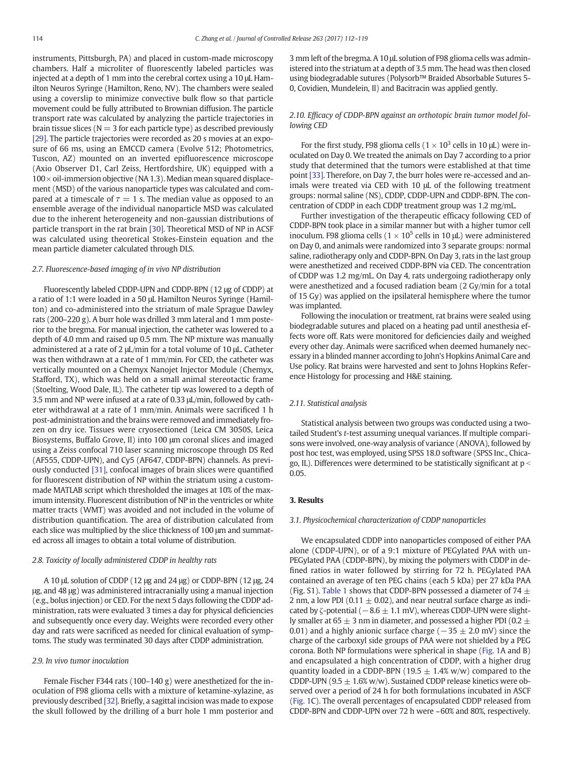instruments, Pittsburgh, PA) and placed in custom-made microscopy chambers. Half a microliter of fluorescently labeled particles was injected at a depth of 1 mm into the cerebral cortex using a 10 μL Hamilton Neuros Syringe (Hamilton, Reno, NV). The chambers were sealed using a coverslip to minimize convective bulk flow so that particle movement could be fully attributed to Brownian diffusion. The particle transport rate was calculated by analyzing the particle trajectories in brain tissue slices ( $N = 3$  for each particle type) as described previously [\[29\]](#page-6-0). The particle trajectories were recorded as 20 s movies at an exposure of 66 ms, using an EMCCD camera (Evolve 512; Photometrics, Tuscon, AZ) mounted on an inverted epifluorescence microscope (Axio Observer D1, Carl Zeiss, Hertfordshire, UK) equipped with a  $100\times$  oil-immersion objective (NA 1.3). Median mean squared displacement (MSD) of the various nanoparticle types was calculated and compared at a timescale of  $\tau = 1$  s. The median value as opposed to an ensemble average of the individual nanoparticle MSD was calculated due to the inherent heterogeneity and non-gaussian distributions of particle transport in the rat brain [\[30\]](#page-6-0). Theoretical MSD of NP in ACSF was calculated using theoretical Stokes-Einstein equation and the mean particle diameter calculated through DLS.

## 2.7. Fluorescence-based imaging of in vivo NP distribution

Fluorescently labeled CDDP-UPN and CDDP-BPN (12 μg of CDDP) at a ratio of 1:1 were loaded in a 50 μL Hamilton Neuros Syringe (Hamilton) and co-administered into the striatum of male Sprague Dawley rats (200–220 g). A burr hole was drilled 3 mm lateral and 1 mm posterior to the bregma. For manual injection, the catheter was lowered to a depth of 4.0 mm and raised up 0.5 mm. The NP mixture was manually administered at a rate of 2 μL/min for a total volume of 10 μL. Catheter was then withdrawn at a rate of 1 mm/min. For CED, the catheter was vertically mounted on a Chemyx Nanojet Injector Module (Chemyx, Stafford, TX), which was held on a small animal stereotactic frame (Stoelting, Wood Dale, IL). The catheter tip was lowered to a depth of 3.5 mm and NP were infused at a rate of 0.33 μL/min, followed by catheter withdrawal at a rate of 1 mm/min. Animals were sacrificed 1 h post-administration and the brains were removed and immediately frozen on dry ice. Tissues were cryosectioned (Leica CM 3050S, Leica Biosystems, Buffalo Grove, Il) into 100 μm coronal slices and imaged using a Zeiss confocal 710 laser scanning microscope through DS Red (AF555, CDDP-UPN), and Cy5 (AF647, CDDP-BPN) channels. As previously conducted [\[31\]](#page-6-0), confocal images of brain slices were quantified for fluorescent distribution of NP within the striatum using a custommade MATLAB script which thresholded the images at 10% of the maximum intensity. Fluorescent distribution of NP in the ventricles or white matter tracts (WMT) was avoided and not included in the volume of distribution quantification. The area of distribution calculated from each slice was multiplied by the slice thickness of 100 μm and summated across all images to obtain a total volume of distribution.

# 2.8. Toxicity of locally administered CDDP in healthy rats

A 10 μL solution of CDDP (12 μg and 24 μg) or CDDP-BPN (12 μg, 24 μg, and 48 μg) was administered intracranially using a manual injection (e.g., bolus injection) or CED. For the next 5 days following the CDDP administration, rats were evaluated 3 times a day for physical deficiencies and subsequently once every day. Weights were recorded every other day and rats were sacrificed as needed for clinical evaluation of symptoms. The study was terminated 30 days after CDDP administration.

# 2.9. In vivo tumor inoculation

Female Fischer F344 rats (100–140 g) were anesthetized for the inoculation of F98 glioma cells with a mixture of ketamine-xylazine, as previously described [\[32\]](#page-7-0). Briefly, a sagittal incision was made to expose the skull followed by the drilling of a burr hole 1 mm posterior and 3 mm left of the bregma. A 10 μL solution of F98 glioma cells was administered into the striatum at a depth of 3.5 mm. The head was then closed using biodegradable sutures (Polysorb™ Braided Absorbable Sutures 5- 0, Covidien, Mundelein, Il) and Bacitracin was applied gently.

# 2.10. Efficacy of CDDP-BPN against an orthotopic brain tumor model following CED

For the first study, F98 glioma cells ( $1 \times 10^3$  cells in 10 µL) were inoculated on Day 0. We treated the animals on Day 7 according to a prior study that determined that the tumors were established at that time point [\[33\].](#page-7-0) Therefore, on Day 7, the burr holes were re-accessed and animals were treated via CED with 10 μL of the following treatment groups: normal saline (NS), CDDP, CDDP-UPN and CDDP-BPN. The concentration of CDDP in each CDDP treatment group was 1.2 mg/mL.

Further investigation of the therapeutic efficacy following CED of CDDP-BPN took place in a similar manner but with a higher tumor cell inoculum. F98 glioma cells ( $1 \times 10^5$  cells in 10  $\mu$ L) were administered on Day 0, and animals were randomized into 3 separate groups: normal saline, radiotherapy only and CDDP-BPN. On Day 3, rats in the last group were anesthetized and received CDDP-BPN via CED. The concentration of CDDP was 1.2 mg/mL. On Day 4, rats undergoing radiotherapy only were anesthetized and a focused radiation beam (2 Gy/min for a total of 15 Gy) was applied on the ipsilateral hemisphere where the tumor was implanted.

Following the inoculation or treatment, rat brains were sealed using biodegradable sutures and placed on a heating pad until anesthesia effects wore off. Rats were monitored for deficiencies daily and weighed every other day. Animals were sacrificed when deemed humanely necessary in a blinded manner according to John's Hopkins Animal Care and Use policy. Rat brains were harvested and sent to Johns Hopkins Reference Histology for processing and H&E staining.

# 2.11. Statistical analysis

Statistical analysis between two groups was conducted using a twotailed Student's t-test assuming unequal variances. If multiple comparisons were involved, one-way analysis of variance (ANOVA), followed by post hoc test, was employed, using SPSS 18.0 software (SPSS Inc., Chicago, IL). Differences were determined to be statistically significant at  $p <$ 0.05.

# 3. Results

#### 3.1. Physicochemical characterization of CDDP nanoparticles

We encapsulated CDDP into nanoparticles composed of either PAA alone (CDDP-UPN), or of a 9:1 mixture of PEGylated PAA with un-PEGylated PAA (CDDP-BPN), by mixing the polymers with CDDP in defined ratios in water followed by stirring for 72 h. PEGylated PAA contained an average of ten PEG chains (each 5 kDa) per 27 kDa PAA (Fig. S1). [Table 1](#page-3-0) shows that CDDP-BPN possessed a diameter of 74  $\pm$ 2 nm, a low PDI (0.11  $\pm$  0.02), and near neutral surface charge as indicated by  $\zeta$ -potential ( $-8.6 \pm 1.1$  mV), whereas CDDP-UPN were slightly smaller at 65  $\pm$  3 nm in diameter, and possessed a higher PDI (0.2  $\pm$ 0.01) and a highly anionic surface charge ( $-35 \pm 2.0$  mV) since the charge of the carboxyl side groups of PAA were not shielded by a PEG corona. Both NP formulations were spherical in shape [\(Fig. 1](#page-3-0)A and B) and encapsulated a high concentration of CDDP, with a higher drug quantity loaded in a CDDP-BPN (19.5  $\pm$  1.4% w/w) compared to the CDDP-UPN (9.5  $\pm$  1.6% w/w). Sustained CDDP release kinetics were observed over a period of 24 h for both formulations incubated in ASCF [\(Fig. 1C](#page-3-0)). The overall percentages of encapsulated CDDP released from CDDP-BPN and CDDP-UPN over 72 h were ~60% and 80%, respectively.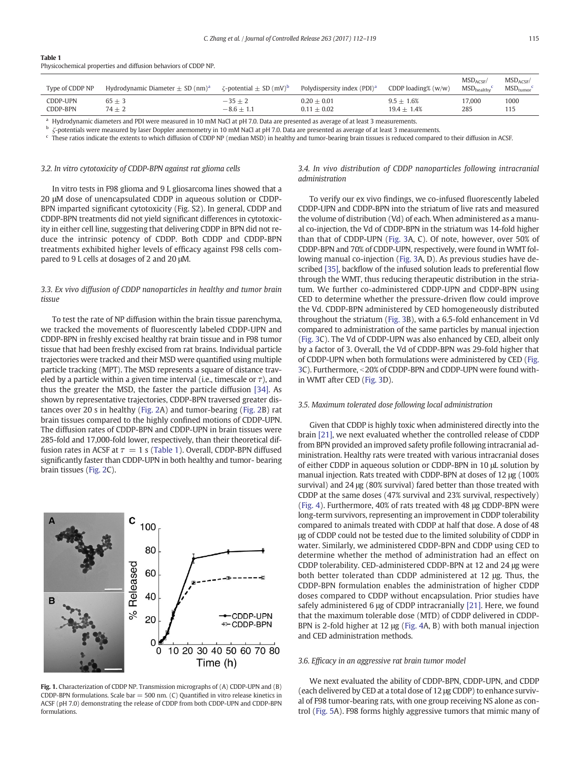| Physicochemical properties and diffusion behaviors of CDDP NP. |                                                  |                                               |                                         |                               |                                        |                                      |  |  |  |  |
|----------------------------------------------------------------|--------------------------------------------------|-----------------------------------------------|-----------------------------------------|-------------------------------|----------------------------------------|--------------------------------------|--|--|--|--|
| Type of CDDP NP                                                | Hydrodynamic Diameter $\pm$ SD (nm) <sup>a</sup> | $\zeta$ -potential $\pm$ SD (mV) <sup>b</sup> | Polydispersity index (PDI) <sup>a</sup> | CDDP loading% $(w/w)$         | $MSD_{ACSF}$<br>$MSD_{\text{healthv}}$ | $MSD_{ACSE}$<br>$MSD_{\text{tumor}}$ |  |  |  |  |
| CDDP-UPN<br>CDDP-BPN                                           | $65 + 3$<br>$74 + 2$                             | $-35 + 2$<br>$-8.6 + 1.1$                     | $0.20 + 0.01$<br>$0.11 + 0.02$          | $9.5 + 1.6%$<br>$19.4 + 1.4%$ | 17.000<br>285                          | 1000<br>115                          |  |  |  |  |

<sup>a</sup> Hydrodynamic diameters and PDI were measured in 10 mM NaCl at pH 7.0. Data are presented as average of at least 3 measurements.<br>By contrativity were measured by least Dempler anomenativity 10 mM NaCl at all 7.0. Data

 $\frac{b}{c}$ -potentials were measured by laser Doppler anemometry in 10 mM NaCl at pH 7.0. Data are presented as average of at least 3 measurements.

<sup>c</sup> These ratios indicate the extents to which diffusion of CDDP NP (median MSD) in healthy and tumor-bearing brain tissues is reduced compared to their diffusion in ACSF.

#### 3.2. In vitro cytotoxicity of CDDP-BPN against rat glioma cells

<span id="page-3-0"></span>Table 1

In vitro tests in F98 glioma and 9 L gliosarcoma lines showed that a 20 μM dose of unencapsulated CDDP in aqueous solution or CDDP-BPN imparted significant cytotoxicity (Fig. S2). In general, CDDP and CDDP-BPN treatments did not yield significant differences in cytotoxicity in either cell line, suggesting that delivering CDDP in BPN did not reduce the intrinsic potency of CDDP. Both CDDP and CDDP-BPN treatments exhibited higher levels of efficacy against F98 cells compared to 9 L cells at dosages of 2 and 20 μM.

# 3.3. Ex vivo diffusion of CDDP nanoparticles in healthy and tumor brain tissue

To test the rate of NP diffusion within the brain tissue parenchyma, we tracked the movements of fluorescently labeled CDDP-UPN and CDDP-BPN in freshly excised healthy rat brain tissue and in F98 tumor tissue that had been freshly excised from rat brains. Individual particle trajectories were tracked and their MSD were quantified using multiple particle tracking (MPT). The MSD represents a square of distance traveled by a particle within a given time interval (i.e., timescale or  $\tau$ ), and thus the greater the MSD, the faster the particle diffusion [\[34\].](#page-7-0) As shown by representative trajectories, CDDP-BPN traversed greater distances over 20 s in healthy ([Fig. 2A](#page-4-0)) and tumor-bearing [\(Fig. 2B](#page-4-0)) rat brain tissues compared to the highly confined motions of CDDP-UPN. The diffusion rates of CDDP-BPN and CDDP-UPN in brain tissues were 285-fold and 17,000-fold lower, respectively, than their theoretical diffusion rates in ACSF at  $\tau = 1$  s (Table 1). Overall, CDDP-BPN diffused significantly faster than CDDP-UPN in both healthy and tumor- bearing brain tissues ([Fig. 2](#page-4-0)C).



Fig. 1. Characterization of CDDP NP. Transmission micrographs of (A) CDDP-UPN and (B) CDDP-BPN formulations. Scale bar = 500 nm. (C) Quantified in vitro release kinetics in ACSF (pH 7.0) demonstrating the release of CDDP from both CDDP-UPN and CDDP-BPN formulations.

3.4. In vivo distribution of CDDP nanoparticles following intracranial administration

To verify our ex vivo findings, we co-infused fluorescently labeled CDDP-UPN and CDDP-BPN into the striatum of live rats and measured the volume of distribution (Vd) of each. When administered as a manual co-injection, the Vd of CDDP-BPN in the striatum was 14-fold higher than that of CDDP-UPN ([Fig. 3](#page-4-0)A, C). Of note, however, over 50% of CDDP-BPN and 70% of CDDP-UPN, respectively, were found in WMT following manual co-injection [\(Fig. 3](#page-4-0)A, D). As previous studies have described [\[35\]](#page-7-0), backflow of the infused solution leads to preferential flow through the WMT, thus reducing therapeutic distribution in the striatum. We further co-administered CDDP-UPN and CDDP-BPN using CED to determine whether the pressure-driven flow could improve the Vd. CDDP-BPN administered by CED homogeneously distributed throughout the striatum [\(Fig. 3](#page-4-0)B), with a 6.5-fold enhancement in Vd compared to administration of the same particles by manual injection [\(Fig. 3](#page-4-0)C). The Vd of CDDP-UPN was also enhanced by CED, albeit only by a factor of 3. Overall, the Vd of CDDP-BPN was 29-fold higher that of CDDP-UPN when both formulations were administered by CED [\(Fig.](#page-4-0) [3C](#page-4-0)). Furthermore, <20% of CDDP-BPN and CDDP-UPN were found within WMT after CED [\(Fig. 3D](#page-4-0)).

# 3.5. Maximum tolerated dose following local administration

Given that CDDP is highly toxic when administered directly into the brain [\[21\]](#page-6-0), we next evaluated whether the controlled release of CDDP from BPN provided an improved safety profile following intracranial administration. Healthy rats were treated with various intracranial doses of either CDDP in aqueous solution or CDDP-BPN in 10 μL solution by manual injection. Rats treated with CDDP-BPN at doses of 12 μg (100% survival) and 24 μg (80% survival) fared better than those treated with CDDP at the same doses (47% survival and 23% survival, respectively) [\(Fig. 4](#page-5-0)). Furthermore, 40% of rats treated with 48 μg CDDP-BPN were long-term survivors, representing an improvement in CDDP tolerability compared to animals treated with CDDP at half that dose. A dose of 48 μg of CDDP could not be tested due to the limited solubility of CDDP in water. Similarly, we administered CDDP-BPN and CDDP using CED to determine whether the method of administration had an effect on CDDP tolerability. CED-administered CDDP-BPN at 12 and 24 μg were both better tolerated than CDDP administered at 12 μg. Thus, the CDDP-BPN formulation enables the administration of higher CDDP doses compared to CDDP without encapsulation. Prior studies have safely administered 6 μg of CDDP intracranially [\[21\].](#page-6-0) Here, we found that the maximum tolerable dose (MTD) of CDDP delivered in CDDP-BPN is 2-fold higher at 12 μg ([Fig. 4](#page-5-0)A, B) with both manual injection and CED administration methods.

# 3.6. Efficacy in an aggressive rat brain tumor model

We next evaluated the ability of CDDP-BPN, CDDP-UPN, and CDDP (each delivered by CED at a total dose of 12 μg CDDP) to enhance survival of F98 tumor-bearing rats, with one group receiving NS alone as control ([Fig. 5A](#page-5-0)). F98 forms highly aggressive tumors that mimic many of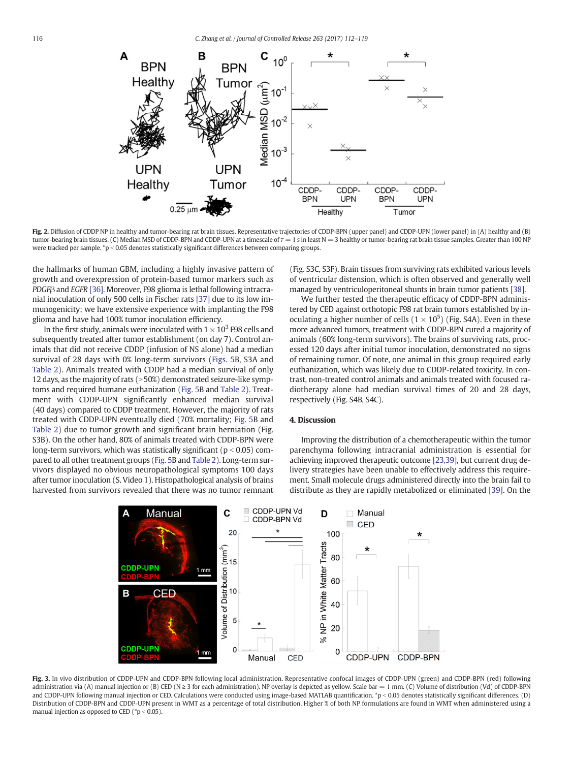<span id="page-4-0"></span>

Fig. 2. Diffusion of CDDP NP in healthy and tumor-bearing rat brain tissues. Representative trajectories of CDDP-BPN (upper panel) and CDDP-UPN (lower panel) in (A) healthy and (B) tumor-bearing brain tissues. (C) Median MSD of CDDP-BPN and CDDP-UPN at a timescale of  $\tau = 1$  s in least N = 3 healthy or tumor-bearing rat brain tissue samples. Greater than 100 NP were tracked per sample.  $\degree$ p < 0.05 denotes statistically significant differences between comparing groups.

the hallmarks of human GBM, including a highly invasive pattern of growth and overexpression of protein-based tumor markers such as PDGFβ and EGFR [\[36\]](#page-7-0). Moreover, F98 glioma is lethal following intracranial inoculation of only 500 cells in Fischer rats [\[37\]](#page-7-0) due to its low immunogenicity; we have extensive experience with implanting the F98 glioma and have had 100% tumor inoculation efficiency.

In the first study, animals were inoculated with  $1 \times 10^3$  F98 cells and subsequently treated after tumor establishment (on day 7). Control animals that did not receive CDDP (infusion of NS alone) had a median survival of 28 days with 0% long-term survivors ([Figs. 5B](#page-5-0), S3A and [Table 2\)](#page-5-0). Animals treated with CDDP had a median survival of only 12 days, as the majority of rats  $(>50%)$  demonstrated seizure-like symptoms and required humane euthanization ([Fig. 5B](#page-5-0) and [Table 2\)](#page-5-0). Treatment with CDDP-UPN significantly enhanced median survival (40 days) compared to CDDP treatment. However, the majority of rats treated with CDDP-UPN eventually died (70% mortality; [Fig. 5B](#page-5-0) and [Table 2\)](#page-5-0) due to tumor growth and significant brain herniation (Fig. S3B). On the other hand, 80% of animals treated with CDDP-BPN were long-term survivors, which was statistically significant ( $p < 0.05$ ) compared to all other treatment groups [\(Fig. 5](#page-5-0)B and [Table 2\)](#page-5-0). Long-term survivors displayed no obvious neuropathological symptoms 100 days after tumor inoculation (S. Video 1). Histopathological analysis of brains harvested from survivors revealed that there was no tumor remnant (Fig. S3C, S3F). Brain tissues from surviving rats exhibited various levels of ventricular distension, which is often observed and generally well managed by ventriculoperitoneal shunts in brain tumor patients [\[38\]](#page-7-0).

We further tested the therapeutic efficacy of CDDP-BPN administered by CED against orthotopic F98 rat brain tumors established by inoculating a higher number of cells  $(1 \times 10^5)$  (Fig. S4A). Even in these more advanced tumors, treatment with CDDP-BPN cured a majority of animals (60% long-term survivors). The brains of surviving rats, processed 120 days after initial tumor inoculation, demonstrated no signs of remaining tumor. Of note, one animal in this group required early euthanization, which was likely due to CDDP-related toxicity. In contrast, non-treated control animals and animals treated with focused radiotherapy alone had median survival times of 20 and 28 days, respectively (Fig. S4B, S4C).

#### 4. Discussion

Improving the distribution of a chemotherapeutic within the tumor parenchyma following intracranial administration is essential for achieving improved therapeutic outcome [\[23,39\],](#page-6-0) but current drug delivery strategies have been unable to effectively address this requirement. Small molecule drugs administered directly into the brain fail to distribute as they are rapidly metabolized or eliminated [\[39\].](#page-7-0) On the



Fig. 3. In vivo distribution of CDDP-UPN and CDDP-BPN following local administration. Representative confocal images of CDDP-UPN (green) and CDDP-BPN (red) following administration via (A) manual injection or (B) CED (N  $\geq$  3 for each administration). NP overlay is depicted as yellow. Scale bar = 1 mm. (C) Volume of distribution (Vd) of CDDP-BPN and CDDP-UPN following manual injection or CED. Calculations were conducted using image-based MATLAB quantification. \*p < 0.05 denotes statistically significant differences. (D) Distribution of CDDP-BPN and CDDP-UPN present in WMT as a percentage of total distribution. Higher % of both NP formulations are found in WMT when administered using a manual injection as opposed to CED  $(^*p < 0.05)$ .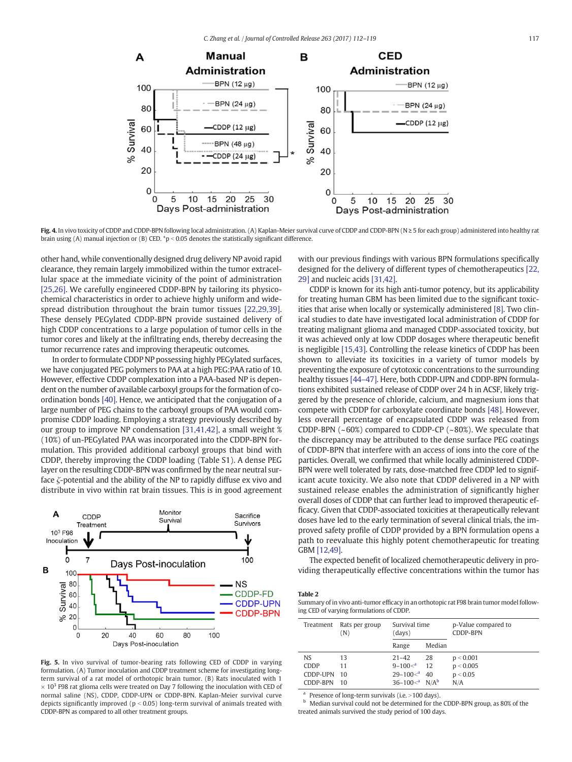<span id="page-5-0"></span>

Fig. 4. In vivo toxicity of CDDP and CDDP-BPN following local administration. (A) Kaplan-Meier survival curve of CDDP and CDDP-BPN (N  $\geq$  5 for each group) administered into healthy rat brain using (A) manual injection or (B) CED. \*p < 0.05 denotes the statistically significant difference.

other hand, while conventionally designed drug delivery NP avoid rapid clearance, they remain largely immobilized within the tumor extracellular space at the immediate vicinity of the point of administration [\[25,26\]](#page-6-0). We carefully engineered CDDP-BPN by tailoring its physicochemical characteristics in order to achieve highly uniform and widespread distribution throughout the brain tumor tissues [\[22,29,39\].](#page-6-0) These densely PEGylated CDDP-BPN provide sustained delivery of high CDDP concentrations to a large population of tumor cells in the tumor cores and likely at the infiltrating ends, thereby decreasing the tumor recurrence rates and improving therapeutic outcomes.

In order to formulate CDDP NP possessing highly PEGylated surfaces, we have conjugated PEG polymers to PAA at a high PEG:PAA ratio of 10. However, effective CDDP complexation into a PAA-based NP is dependent on the number of available carboxyl groups for the formation of coordination bonds [\[40\]](#page-7-0). Hence, we anticipated that the conjugation of a large number of PEG chains to the carboxyl groups of PAA would compromise CDDP loading. Employing a strategy previously described by our group to improve NP condensation [\[31,41,42\]](#page-6-0), a small weight % (10%) of un-PEGylated PAA was incorporated into the CDDP-BPN formulation. This provided additional carboxyl groups that bind with CDDP, thereby improving the CDDP loading (Table S1). A dense PEG layer on the resulting CDDP-BPN was confirmed by the near neutral surface ζ-potential and the ability of the NP to rapidly diffuse ex vivo and distribute in vivo within rat brain tissues. This is in good agreement



Fig. 5. In vivo survival of tumor-bearing rats following CED of CDDP in varying formulation. (A) Tumor inoculation and CDDP treatment scheme for investigating longterm survival of a rat model of orthotopic brain tumor. (B) Rats inoculated with 1  $\times$  10<sup>3</sup> F98 rat glioma cells were treated on Day 7 following the inoculation with CED of normal saline (NS), CDDP, CDDP-UPN or CDDP-BPN. Kaplan-Meier survival curve depicts significantly improved ( $p < 0.05$ ) long-term survival of animals treated with CDDP-BPN as compared to all other treatment groups.

with our previous findings with various BPN formulations specifically designed for the delivery of different types of chemotherapeutics [\[22,](#page-6-0) [29\]](#page-6-0) and nucleic acids [\[31,42\].](#page-6-0)

CDDP is known for its high anti-tumor potency, but its applicability for treating human GBM has been limited due to the significant toxicities that arise when locally or systemically administered [\[8\]](#page-6-0). Two clinical studies to date have investigated local administration of CDDP for treating malignant glioma and managed CDDP-associated toxicity, but it was achieved only at low CDDP dosages where therapeutic benefit is negligible [\[15,43\].](#page-6-0) Controlling the release kinetics of CDDP has been shown to alleviate its toxicities in a variety of tumor models by preventing the exposure of cytotoxic concentrations to the surrounding healthy tissues [\[44](#page-7-0)–47]. Here, both CDDP-UPN and CDDP-BPN formulations exhibited sustained release of CDDP over 24 h in ACSF, likely triggered by the presence of chloride, calcium, and magnesium ions that compete with CDDP for carboxylate coordinate bonds [\[48\].](#page-7-0) However, less overall percentage of encapsulated CDDP was released from CDDP-BPN (~60%) compared to CDDP-CP (~80%). We speculate that the discrepancy may be attributed to the dense surface PEG coatings of CDDP-BPN that interfere with an access of ions into the core of the particles. Overall, we confirmed that while locally administered CDDP-BPN were well tolerated by rats, dose-matched free CDDP led to significant acute toxicity. We also note that CDDP delivered in a NP with sustained release enables the administration of significantly higher overall doses of CDDP that can further lead to improved therapeutic efficacy. Given that CDDP-associated toxicities at therapeutically relevant doses have led to the early termination of several clinical trials, the improved safety profile of CDDP provided by a BPN formulation opens a path to reevaluate this highly potent chemotherapeutic for treating GBM [\[12,49\].](#page-6-0)

The expected benefit of localized chemotherapeutic delivery in providing therapeutically effective concentrations within the tumor has

Table 2

Summary of in vivo anti-tumor efficacy in an orthotopic rat F98 brain tumor model following CED of varying formulations of CDDP.

| Treatment                                      | Rats per group<br>(N) | Survival time<br>(days)                                                  |                | p-Value compared to<br><b>CDDP-BPN</b>    |
|------------------------------------------------|-----------------------|--------------------------------------------------------------------------|----------------|-------------------------------------------|
|                                                |                       | Range                                                                    | Median         |                                           |
| N <sub>S</sub><br>CDDP<br>CDDP-UPN<br>CDDP-BPN | 13<br>11<br>10<br>10  | $21 - 42$<br>$9 - 100 a$<br>$29 - 100 a$<br>$36-100<^a$ N/A <sup>b</sup> | 28<br>12<br>40 | p < 0.001<br>p < 0.005<br>p < 0.05<br>N/A |

<sup>a</sup> Presence of long-term survivals (i.e.  $>100$  days).

<sup>b</sup> Median survival could not be determined for the CDDP-BPN group, as 80% of the treated animals survived the study period of 100 days.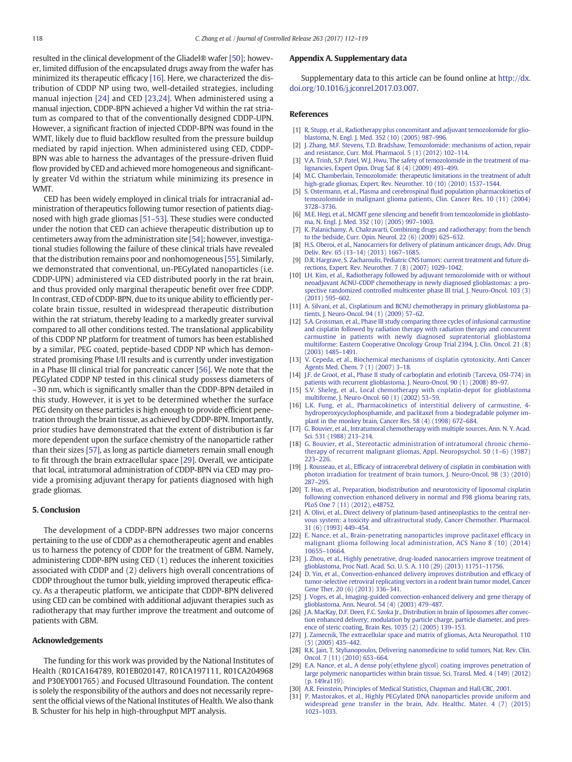<span id="page-6-0"></span>resulted in the clinical development of the Gliadel® wafer [\[50\]](#page-7-0); however, limited diffusion of the encapsulated drugs away from the wafer has minimized its therapeutic efficacy [16]. Here, we characterized the distribution of CDDP NP using two, well-detailed strategies, including manual injection [24] and CED [23,24]. When administered using a manual injection, CDDP-BPN achieved a higher Vd within the rat striatum as compared to that of the conventionally designed CDDP-UPN. However, a significant fraction of injected CDDP-BPN was found in the WMT, likely due to fluid backflow resulted from the pressure buildup mediated by rapid injection. When administered using CED, CDDP-BPN was able to harness the advantages of the pressure-driven fluid flow provided by CED and achieved more homogeneous and significantly greater Vd within the striatum while minimizing its presence in WMT.

CED has been widely employed in clinical trials for intracranial administration of therapeutics following tumor resection of patients diagnosed with high grade gliomas [51–[53\].](#page-7-0) These studies were conducted under the notion that CED can achieve therapeutic distribution up to centimeters away from the administration site [\[54\]](#page-7-0); however, investigational studies following the failure of these clinical trials have revealed that the distribution remains poor and nonhomogeneous [\[55\]](#page-7-0). Similarly, we demonstrated that conventional, un-PEGylated nanoparticles (i.e. CDDP-UPN) administered via CED distributed poorly in the rat brain, and thus provided only marginal therapeutic benefit over free CDDP. In contrast, CED of CDDP-BPN, due to its unique ability to efficiently percolate brain tissue, resulted in widespread therapeutic distribution within the rat striatum, thereby leading to a markedly greater survival compared to all other conditions tested. The translational applicability of this CDDP NP platform for treatment of tumors has been established by a similar, PEG coated, peptide-based CDDP NP which has demonstrated promising Phase I/II results and is currently under investigation in a Phase III clinical trial for pancreatic cancer [\[56\]](#page-7-0). We note that the PEGylated CDDP NP tested in this clinical study possess diameters of ~30 nm, which is significantly smaller than the CDDP-BPN detailed in this study. However, it is yet to be determined whether the surface PEG density on these particles is high enough to provide efficient penetration through the brain tissue, as achieved by CDDP-BPN. Importantly, prior studies have demonstrated that the extent of distribution is far more dependent upon the surface chemistry of the nanoparticle rather than their sizes [\[57\],](#page-7-0) as long as particle diameters remain small enough to fit through the brain extracellular space [29]. Overall, we anticipate that local, intratumoral administration of CDDP-BPN via CED may provide a promising adjuvant therapy for patients diagnosed with high grade gliomas.

#### 5. Conclusion

The development of a CDDP-BPN addresses two major concerns pertaining to the use of CDDP as a chemotherapeutic agent and enables us to harness the potency of CDDP for the treatment of GBM. Namely, administering CDDP-BPN using CED (1) reduces the inherent toxicities associated with CDDP and (2) delivers high overall concentrations of CDDP throughout the tumor bulk, yielding improved therapeutic efficacy. As a therapeutic platform, we anticipate that CDDP-BPN delivered using CED can be combined with additional adjuvant therapies such as radiotherapy that may further improve the treatment and outcome of patients with GBM.

## Acknowledgements

The funding for this work was provided by the National Institutes of Health (R01CA164789, R01EB020147, R01CA197111, R01CA204968 and P30EY001765) and Focused Ultrasound Foundation. The content is solely the responsibility of the authors and does not necessarily represent the official views of the National Institutes of Health. We also thank B. Schuster for his help in high-throughput MPT analysis.

## Appendix A. Supplementary data

Supplementary data to this article can be found online at [http://dx.](http://dx.doi.org/10.1016/j.jconrel.2017.03.007) [doi.org/10.1016/j.jconrel.2017.03.007](http://dx.doi.org/10.1016/j.jconrel.2017.03.007).

#### References

- [1] [R. Stupp, et al., Radiotherapy plus concomitant and adjuvant temozolomide for glio](http://refhub.elsevier.com/S0168-3659(17)30110-4/rf0005)[blastoma, N. Engl. J. Med. 352 \(10\) \(2005\) 987](http://refhub.elsevier.com/S0168-3659(17)30110-4/rf0005)–996.
- [2] [J. Zhang, M.F. Stevens, T.D. Bradshaw, Temozolomide: mechanisms of action, repair](http://refhub.elsevier.com/S0168-3659(17)30110-4/rf0010) [and resistance, Curr. Mol. Pharmacol. 5 \(1\) \(2012\) 102](http://refhub.elsevier.com/S0168-3659(17)30110-4/rf0010)–114.
- [3] [V.A. Trinh, S.P. Patel, W.J. Hwu, The safety of temozolomide in the treatment of ma](http://refhub.elsevier.com/S0168-3659(17)30110-4/rf0015)[lignancies, Expert Opin. Drug Saf. 8 \(4\) \(2009\) 493](http://refhub.elsevier.com/S0168-3659(17)30110-4/rf0015)–499.
- [4] [M.C. Chamberlain, Temozolomide: therapeutic limitations in the treatment of adult](http://refhub.elsevier.com/S0168-3659(17)30110-4/rf0020) [high-grade gliomas, Expert. Rev. Neurother. 10 \(10\) \(2010\) 1537](http://refhub.elsevier.com/S0168-3659(17)30110-4/rf0020)–1544.
- [5] [S. Ostermann, et al., Plasma and cerebrospinal](http://refhub.elsevier.com/S0168-3659(17)30110-4/rf0025) fluid population pharmacokinetics of [temozolomide in malignant glioma patients, Clin. Cancer Res. 10 \(11\) \(2004\)](http://refhub.elsevier.com/S0168-3659(17)30110-4/rf0025) [3728](http://refhub.elsevier.com/S0168-3659(17)30110-4/rf0025)–3736.
- [6] [M.E. Hegi, et al., MGMT gene silencing and bene](http://refhub.elsevier.com/S0168-3659(17)30110-4/rf0030)fit from temozolomide in glioblasto[ma, N. Engl. J. Med. 352 \(10\) \(2005\) 997](http://refhub.elsevier.com/S0168-3659(17)30110-4/rf0030)–1003.
- [7] [K. Palanichamy, A. Chakravarti, Combining drugs and radiotherapy: from the bench](http://refhub.elsevier.com/S0168-3659(17)30110-4/rf0035) [to the bedside, Curr. Opin. Neurol. 22 \(6\) \(2009\) 625](http://refhub.elsevier.com/S0168-3659(17)30110-4/rf0035)–632.
- [8] [H.S. Oberoi, et al., Nanocarriers for delivery of platinum anticancer drugs, Adv. Drug](http://refhub.elsevier.com/S0168-3659(17)30110-4/rf0040) [Deliv. Rev. 65 \(13](http://refhub.elsevier.com/S0168-3659(17)30110-4/rf0040)–14) (2013) 1667–1685.
- [9] [D.R. Hargrave, S. Zacharoulis, Pediatric CNS tumors: current treatment and future di](http://refhub.elsevier.com/S0168-3659(17)30110-4/rf0045)[rections, Expert. Rev. Neurother. 7 \(8\) \(2007\) 1029](http://refhub.elsevier.com/S0168-3659(17)30110-4/rf0045)–1042.
- [10] [I.H. Kim, et al., Radiotherapy followed by adjuvant temozolomide with or without](http://refhub.elsevier.com/S0168-3659(17)30110-4/rf0050) [neoadjuvant ACNU-CDDP chemotherapy in newly diagnosed glioblastomas: a pro](http://refhub.elsevier.com/S0168-3659(17)30110-4/rf0050)[spective randomized controlled multicenter phase III trial, J. Neuro-Oncol. 103 \(3\)](http://refhub.elsevier.com/S0168-3659(17)30110-4/rf0050) [\(2011\) 595](http://refhub.elsevier.com/S0168-3659(17)30110-4/rf0050)–602.
- [11] [A. Silvani, et al., Cisplatinum and BCNU chemotherapy in primary glioblastoma pa](http://refhub.elsevier.com/S0168-3659(17)30110-4/rf0055)[tients, J. Neuro-Oncol. 94 \(1\) \(2009\) 57](http://refhub.elsevier.com/S0168-3659(17)30110-4/rf0055)–62.
- [12] [S.A. Grossman, et al., Phase III study comparing three cycles of infusional carmustine](http://refhub.elsevier.com/S0168-3659(17)30110-4/rf0060) [and cisplatin followed by radiation therapy with radiation therapy and concurrent](http://refhub.elsevier.com/S0168-3659(17)30110-4/rf0060) [carmustine in patients with newly diagnosed supratentorial glioblastoma](http://refhub.elsevier.com/S0168-3659(17)30110-4/rf0060) [multiforme: Eastern Cooperative Oncology Group Trial 2394, J. Clin. Oncol. 21 \(8\)](http://refhub.elsevier.com/S0168-3659(17)30110-4/rf0060) [\(2003\) 1485](http://refhub.elsevier.com/S0168-3659(17)30110-4/rf0060)–1491.
- [13] [V. Cepeda, et al., Biochemical mechanisms of cisplatin cytotoxicity, Anti Cancer](http://refhub.elsevier.com/S0168-3659(17)30110-4/rf0065) [Agents Med. Chem. 7 \(1\) \(2007\) 3](http://refhub.elsevier.com/S0168-3659(17)30110-4/rf0065)–18.
- [14] [J.F. de Groot, et al., Phase II study of carboplatin and erlotinib \(Tarceva, OSI-774\) in](http://refhub.elsevier.com/S0168-3659(17)30110-4/rf0070) [patients with recurrent glioblastoma, J. Neuro-Oncol. 90 \(1\) \(2008\) 89](http://refhub.elsevier.com/S0168-3659(17)30110-4/rf0070)–97.
- [15] [S.V. Sheleg, et al., Local chemotherapy with cisplatin-depot for glioblastoma](http://refhub.elsevier.com/S0168-3659(17)30110-4/rf0075) [multiforme, J. Neuro-Oncol. 60 \(1\) \(2002\) 53](http://refhub.elsevier.com/S0168-3659(17)30110-4/rf0075)–59.
- [L.K. Fung, et al., Pharmacokinetics of interstitial delivery of carmustine, 4](http://refhub.elsevier.com/S0168-3659(17)30110-4/rf0080) [hydroperoxycyclophosphamide, and paclitaxel from a biodegradable polymer im](http://refhub.elsevier.com/S0168-3659(17)30110-4/rf0080)[plant in the monkey brain, Cancer Res. 58 \(4\) \(1998\) 672](http://refhub.elsevier.com/S0168-3659(17)30110-4/rf0080)–684.
- [17] [G. Bouvier, et al., Intratumoral chemotherapy with multiple sources, Ann. N. Y. Acad.](http://refhub.elsevier.com/S0168-3659(17)30110-4/rf0085) [Sci. 531 \(1988\) 213](http://refhub.elsevier.com/S0168-3659(17)30110-4/rf0085)–214.
- [18] [G. Bouvier, et al., Stereotactic administration of intratumoral chronic chemo](http://refhub.elsevier.com/S0168-3659(17)30110-4/rf0090)[therapy of recurrent malignant gliomas, Appl. Neuropsychol. 50 \(1](http://refhub.elsevier.com/S0168-3659(17)30110-4/rf0090)–6) (1987) 223–[226.](http://refhub.elsevier.com/S0168-3659(17)30110-4/rf0090)
- [19] J. Rousseau, et al., Effi[cacy of intracerebral delivery of cisplatin in combination with](http://refhub.elsevier.com/S0168-3659(17)30110-4/rf0095) [photon irradiation for treatment of brain tumors, J. Neuro-Oncol. 98 \(3\) \(2010\)](http://refhub.elsevier.com/S0168-3659(17)30110-4/rf0095) [287](http://refhub.elsevier.com/S0168-3659(17)30110-4/rf0095)–295.
- [20] [T. Huo, et al., Preparation, biodistribution and neurotoxicity of liposomal cisplatin](http://refhub.elsevier.com/S0168-3659(17)30110-4/rf0100) [following convection enhanced delivery in normal and F98 glioma bearing rats,](http://refhub.elsevier.com/S0168-3659(17)30110-4/rf0100) [PLoS One 7 \(11\) \(2012\), e48752.](http://refhub.elsevier.com/S0168-3659(17)30110-4/rf0100)
- [21] [A. Olivi, et al., Direct delivery of platinum-based antineoplastics to the central ner](http://refhub.elsevier.com/S0168-3659(17)30110-4/rf0105)[vous system: a toxicity and ultrastructural study, Cancer Chemother. Pharmacol.](http://refhub.elsevier.com/S0168-3659(17)30110-4/rf0105) [31 \(6\) \(1993\) 449](http://refhub.elsevier.com/S0168-3659(17)30110-4/rf0105)–454.
- [22] [E. Nance, et al., Brain-penetrating nanoparticles improve paclitaxel ef](http://refhub.elsevier.com/S0168-3659(17)30110-4/rf0110)ficacy in [malignant glioma following local administration, ACS Nano 8 \(10\) \(2014\)](http://refhub.elsevier.com/S0168-3659(17)30110-4/rf0110) [10655](http://refhub.elsevier.com/S0168-3659(17)30110-4/rf0110)–10664.
- [23] [J. Zhou, et al., Highly penetrative, drug-loaded nanocarriers improve treatment of](http://refhub.elsevier.com/S0168-3659(17)30110-4/rf0115) [glioblastoma, Proc Natl. Acad. Sci. U. S. A. 110 \(29\) \(2013\) 11751](http://refhub.elsevier.com/S0168-3659(17)30110-4/rf0115)–11756.
- [24] [D. Yin, et al., Convection-enhanced delivery improves distribution and ef](http://refhub.elsevier.com/S0168-3659(17)30110-4/rf0120)ficacy of [tumor-selective retroviral replicating vectors in a rodent brain tumor model, Cancer](http://refhub.elsevier.com/S0168-3659(17)30110-4/rf0120) [Gene Ther. 20 \(6\) \(2013\) 336](http://refhub.elsevier.com/S0168-3659(17)30110-4/rf0120)–341.
- [25] [J. Voges, et al., Imaging-guided convection-enhanced delivery and gene therapy of](http://refhub.elsevier.com/S0168-3659(17)30110-4/rf0125) [glioblastoma, Ann. Neurol. 54 \(4\) \(2003\) 479](http://refhub.elsevier.com/S0168-3659(17)30110-4/rf0125)–487.
- [26] [J.A. MacKay, D.F. Deen, F.C. Szoka Jr., Distribution in brain of liposomes after convec](http://refhub.elsevier.com/S0168-3659(17)30110-4/rf0130)[tion enhanced delivery; modulation by particle charge, particle diameter, and pres](http://refhub.elsevier.com/S0168-3659(17)30110-4/rf0130)[ence of steric coating, Brain Res. 1035 \(2\) \(2005\) 139](http://refhub.elsevier.com/S0168-3659(17)30110-4/rf0130)–153.
- [27] [J. Zamecnik, The extracellular space and matrix of gliomas, Acta Neuropathol. 110](http://refhub.elsevier.com/S0168-3659(17)30110-4/rf0135) [\(5\) \(2005\) 435](http://refhub.elsevier.com/S0168-3659(17)30110-4/rf0135)–442.
- [28] [R.K. Jain, T. Stylianopoulos, Delivering nanomedicine to solid tumors, Nat. Rev. Clin.](http://refhub.elsevier.com/S0168-3659(17)30110-4/rf0140) [Oncol. 7 \(11\) \(2010\) 653](http://refhub.elsevier.com/S0168-3659(17)30110-4/rf0140)–664.
- [29] [E.A. Nance, et al., A dense poly\(ethylene glycol\) coating improves penetration of](http://refhub.elsevier.com/S0168-3659(17)30110-4/rf0145) [large polymeric nanoparticles within brain tissue, Sci. Transl. Med. 4 \(149\) \(2012\)](http://refhub.elsevier.com/S0168-3659(17)30110-4/rf0145) [\(p. 149ra119\).](http://refhub.elsevier.com/S0168-3659(17)30110-4/rf0145)
- [30] [A.R. Feinstein, Principles of Medical Statistics, Chapman and Hall/CRC, 2001](http://refhub.elsevier.com/S0168-3659(17)30110-4/rf0150).
- [31] [P. Mastorakos, et al., Highly PEGylated DNA nanoparticles provide uniform and](http://refhub.elsevier.com/S0168-3659(17)30110-4/rf0155) [widespread gene transfer in the brain, Adv. Healthc. Mater. 4 \(7\) \(2015\)](http://refhub.elsevier.com/S0168-3659(17)30110-4/rf0155) 1023–[1033.](http://refhub.elsevier.com/S0168-3659(17)30110-4/rf0155)